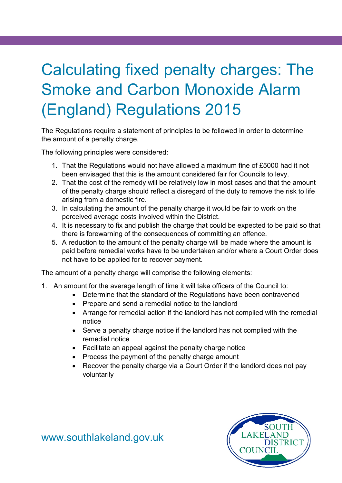## Calculating fixed penalty charges: The Smoke and Carbon Monoxide Alarm (England) Regulations 2015

The Regulations require a statement of principles to be followed in order to determine the amount of a penalty charge.

The following principles were considered:

- 1. That the Regulations would not have allowed a maximum fine of £5000 had it not been envisaged that this is the amount considered fair for Councils to levy.
- 2. That the cost of the remedy will be relatively low in most cases and that the amount of the penalty charge should reflect a disregard of the duty to remove the risk to life arising from a domestic fire.
- 3. In calculating the amount of the penalty charge it would be fair to work on the perceived average costs involved within the District.
- 4. It is necessary to fix and publish the charge that could be expected to be paid so that there is forewarning of the consequences of committing an offence.
- 5. A reduction to the amount of the penalty charge will be made where the amount is paid before remedial works have to be undertaken and/or where a Court Order does not have to be applied for to recover payment.

The amount of a penalty charge will comprise the following elements:

- 1. An amount for the average length of time it will take officers of the Council to:
	- Determine that the standard of the Regulations have been contravened
	- Prepare and send a remedial notice to the landlord
	- Arrange for remedial action if the landlord has not complied with the remedial notice
	- Serve a penalty charge notice if the landlord has not complied with the remedial notice
	- Facilitate an appeal against the penalty charge notice
	- Process the payment of the penalty charge amount
	- Recover the penalty charge via a Court Order if the landlord does not pay voluntarily



[www.southlakeland.gov.uk](http://www.southlakeland.gov.uk/)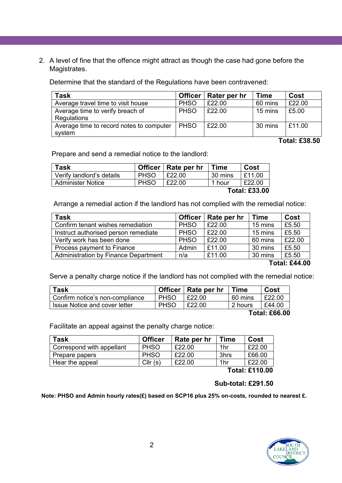2. A level of fine that the offence might attract as though the case had gone before the Magistrates.

Determine that the standard of the Regulations have been contravened:

| <b>Task</b>                              |             | Officer   Rater per hr | <b>Time</b> | Cost   |
|------------------------------------------|-------------|------------------------|-------------|--------|
| Average travel time to visit house       | <b>PHSO</b> | £22.00                 | 60 mins     | £22.00 |
| Average time to verify breach of         | <b>PHSO</b> | £22.00                 | 15 mins     | £5.00  |
| Regulations                              |             |                        |             |        |
| Average time to record notes to computer | <b>PHSO</b> | £22.00                 | 30 mins     | £11.00 |
| system                                   |             |                        |             |        |

**Total: £38.50**

Prepare and send a remedial notice to the landlord:

| <b>Task</b>               |             | Officer   Rate per hr | <b>Time</b> | Cost                 |
|---------------------------|-------------|-----------------------|-------------|----------------------|
| Verify landlord's details | <b>PHSO</b> | £22.00                | 30 mins     | £11.00               |
| <b>Administer Notice</b>  | <b>PHSO</b> | £22.00                | 1 hour      | £22.00               |
|                           |             |                       |             | <b>Total: £33.00</b> |

Arrange a remedial action if the landlord has not complied with the remedial notice:

| <b>Task</b>                          |             | Officer   Rate per hr | <b>Time</b> | Cost                        |
|--------------------------------------|-------------|-----------------------|-------------|-----------------------------|
| Confirm tenant wishes remediation    | <b>PHSO</b> | £22.00                | 15 mins     | £5.50                       |
| Instruct authorised person remediate | <b>PHSO</b> | £22.00                | 15 mins     | £5.50                       |
| Verify work has been done            | <b>PHSO</b> | £22.00                | 60 mins     | £22.00                      |
| Process payment to Finance           | Admin       | £11.00                | 30 mins     | £5.50                       |
| Administration by Finance Department | n/a         | £11.00                | 30 mins     | £5.50                       |
|                                      |             |                       |             | $T - 1 - 1$ . $C = 1$ . $C$ |

**Total: £44.00**

Serve a penalty charge notice if the landlord has not complied with the remedial notice:

| <b>Task</b>                     | <b>Officer</b> | Rate per hr | Time      | Cost                 |
|---------------------------------|----------------|-------------|-----------|----------------------|
| Confirm notice's non-compliance | <b>PHSO</b>    | £22.00      | 60 mins   | £22.00               |
| Issue Notice and cover letter   | <b>PHSO</b>    | £22.00      | l 2 hours | £44.00               |
|                                 |                |             |           | <b>Total: £66.00</b> |

Facilitate an appeal against the penalty charge notice:

| Task                      | <b>Officer</b> | Rate per hr   | <b>Time</b> | Cost   |
|---------------------------|----------------|---------------|-------------|--------|
| Correspond with appellant | <b>PHSO</b>    | <i>F22</i> 00 | 1hr         | £22.00 |
| Prepare papers            | <b>PHSO</b>    | £22.00        | 3hrs        | £66.00 |
| Hear the appeal           | Cllr (s)       | £22.00        | 1hr         | £22.00 |

**Total: £110.00**

## **Sub-total: £291.50**

**Note: PHSO and Admin hourly rates(£) based on SCP16 plus 25% on-costs, rounded to nearest £.**